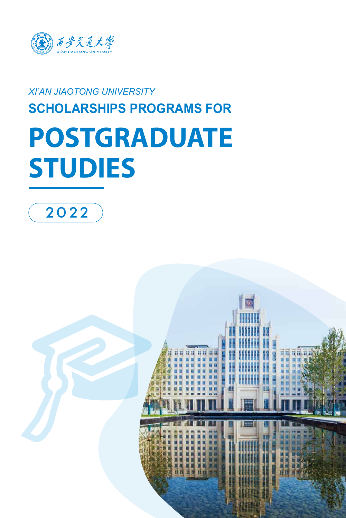

### *XI'AN JIAOTONG UNIVERSITY* **SCHOLARSHIPS PROGRAMS FOR**

# **POSTGRADUATE STUDIES**



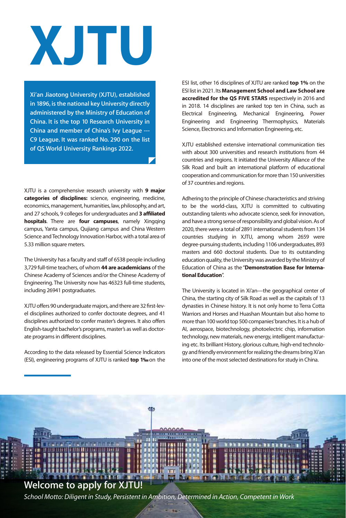# **XJTU**

**Xi'an Jiaotong University (XJTU), established in 1896, is the national key University directly administered by the Ministry of Education of China. It is the top 10 Research University in China and member of China's Ivy League --- C9 League. It was ranked No. 290 on the list of QS World University Rankings 2022.** 

XJTU is a comprehensive research university with **9 major categories of disciplines:** science, engineering, medicine, economics, management, humanities, law, philosophy, and art, and 27 schools, 9 colleges for undergraduates and **3 affiliated hospitals**. There are **four campuses**, namely Xingqing campus, Yanta campus, Qujiang campus and China Western Science and Technology Innovation Harbor, with a total area of 5.33 million square meters.

The University has a faculty and staff of 6538 people including 3,729 full-time teachers, of whom **44 are academicians** of the Chinese Academy of Sciences and/or the Chinese Academy of Engineering. The University now has 46323 full-time students, including 26941 postgraduates.

XJTU offers 90 undergraduate majors, and there are 32 first-level disciplines authorized to confer doctorate degrees, and 41 disciplines authorized to confer master's degrees. It also offers English-taught bachelor's programs, master's as well as doctorate programs in different disciplines.

According to the data released by Essential Science Indicators (ESI), engineering programs of XJTU is ranked **top 1**  $\%$  on the

ESI list, other 16 disciplines of XJTU are ranked **top 1%** on the ESI list in 2021. Its **Management School and Law School are accredited for the QS FIVE STARS** respectively in 2016 and in 2018. 14 disciplines are ranked top ten in China, such as Electrical Engineering, Mechanical Engineering, Power Engineering and Engineering Thermophysics, Materials Science, Electronics and Information Engineering, etc.

XJTU established extensive international communication ties with about 300 universities and research institutions from 44 countries and regions. It initiated the University Alliance of the Silk Road and built an international platform of educational cooperation and communication for more than 150 universities of 37 countries and regions.

Adhering to the principle of Chinese characteristics and striving to be the world-class, XJTU is committed to cultivating outstanding talents who advocate science, seek for innovation, and have a strong sense of responsibility and global vision. As of 2020, there were a total of 2891 international students from 134 countries studying in XJTU, among whom 2659 were degree-pursuing students, including 1106 undergraduates, 893 masters and 660 doctoral students. Due to its outstanding education quality, the University was awarded by the Ministry of Education of China as the "**Demonstration Base for International Education**".

The University is located in Xi'an—the geographical center of China, the starting city of Silk Road as well as the capitals of 13 dynasties in Chinese history. It is not only home to Terra Cotta Warriors and Horses and Huashan Mountain but also home to more than 100 world top 500 companies' branches. It is a hub of AI, aerospace, biotechnology, photoelectric chip, information technology, new materials, new energy, intelligent manufacturing etc. Its brilliant History, glorious culture, high-end technology and friendly environment for realizing the dreams bring Xi'an into one of the most selected destinations for study in China.

#### **Welcome to apply for XJTU!**

*School Motto: Diligent in Study, Persistent in Ambition, Determined in Action, Competent in Work*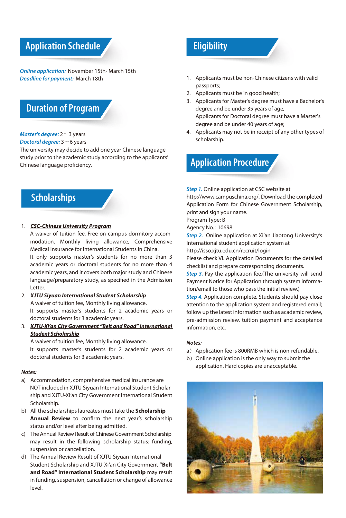#### **Application Schedule**

*Online application:* November 15th- March 15th *Deadline for payment:* March 18th

#### **Duration of Program**

#### *Master's degree:* 2~3 years

*Doctoral degree:* 3~6 years

The university may decide to add one year Chinese language study prior to the academic study according to the applicants' Chinese language proficiency.

#### **Scholarships**

1. *CSC-Chinese University Program*

A waiver of tuition fee, Free on-campus dormitory accommodation, Monthly living allowance, Comprehensive Medical Insurance for International Students in China. It only supports master's students for no more than 3 academic years or doctoral students for no more than 4 academic years, and it covers both major study and Chinese language/preparatory study, as specified in the Admission Letter.

- 2. *XJTU Siyuan International Student Scholarship* A waiver of tuition fee, Monthly living allowance. It supports master's students for 2 academic years or doctoral students for 3 academic years.
- 3. *XJTU-Xi'an City Government "Belt and Road" International Student Scholarship*

A waiver of tuition fee, Monthly living allowance.

It supports master's students for 2 academic years or doctoral students for 3 academic years.

#### *Notes:*

- a) Accommodation, comprehensive medical insurance are NOT included in XJTU Siyuan International Student Scholarship and XJTU-Xi'an City Government International Student Scholarship.
- b) All the scholarships laureates must take the **Scholarship Annual Review** to confirm the next year's scholarship status and/or level after being admitted.
- c) The Annual Review Result of Chinese Government Scholarship may result in the following scholarship status: funding, suspension or cancellation.
- d) The Annual Review Result of XJTU Siyuan International Student Scholarship and XJTU-Xi'an City Government **"Belt and Road" International Student Scholarship** may result in funding, suspension, cancellation or change of allowance level.

#### **Eligibility**

- 1. Applicants must be non-Chinese citizens with valid passports;
- 2. Applicants must be in good health;
- 3. Applicants for Master's degree must have a Bachelor's degree and be under 35 years of age, Applicants for Doctoral degree must have a Master's degree and be under 40 years of age;
- 4. Applicants may not be in receipt of any other types of scholarship.



**Step 1.** Online application at CSC website at

http://www.campuschina.org/. Download the completed Application Form for Chinese Government Scholarship, print and sign your name.

Program Type: B

Agency No. : 10698

*Step 2.* Online application at Xi'an Jiaotong University's International student application system at

http://isso.xjtu.edu.cn/recruit/login

Please check VI. Application Documents for the detailed checklist and prepare corresponding documents.

**Step 3.** Pay the application fee. (The university will send Payment Notice for Application through system information/email to those who pass the initial review.)

*Step 4.* Application complete. Students should pay close attention to the application system and registered email; follow up the latest information such as academic review, pre-admission review, tuition payment and acceptance information, etc.

#### *Notes:*

- a) Application fee is 800RMB which is non-refundable.
- b) Online application is the only way to submit the application. Hard copies are unacceptable.

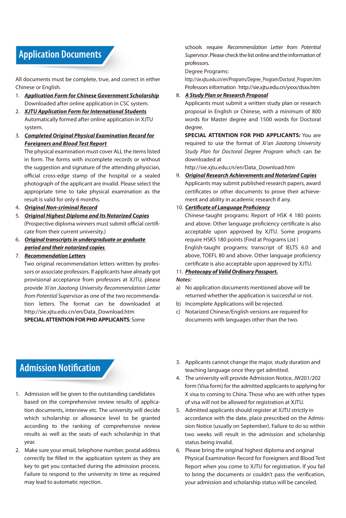#### **Application Documents**

All documents must be complete, true, and correct in either Chinese or English.

- 1. *Application Form for Chinese Government Scholarship* Downloaded after online application in CSC system.
- 2. *XJTU Application Form for International Students* Automatically formed after online application in XJTU system.
- 3. *Completed Original Physical Examination Record for Foreigners and Blood Test Report*

The physical examination must cover ALL the items listed in form. The forms with incomplete records or without the suggestion and signature of the attending physician, official cross-edge stamp of the hospital or a sealed photograph of the applicant are invalid. Please select the appropriate time to take physical examination as the result is valid for only 6 months.

- 4. *Original Non-criminal Record*
- 5. *Original Highest Diploma and Its Notarized Copies* (Prospective diploma winners must submit official certificate from their current university.)
- 6. *Original transcripts in undergraduate or graduate period and their notarized copies*

#### 7. *Recommendation Letters*

Two original recommendation letters written by professors or associate professors. If applicants have already got provisional acceptance from professors at XJTU, please provide *Xi'an Jiaotong University Recommendation Letter from Potential Supervisor* as one of the two recommendation letters. The format can be downloaded at http://sie.xjtu.edu.cn/en/Data\_Download.htm

**SPECIAL ATTENTION FOR PHD APPLICANTS**: Some

schools require *Recommendation Letter from Potential Supervisor*. Please check the list online and the information of professors.

Degree Programs:

http://sie.xjtu.edu.cn/en/Programs/Degree\_Program/Doctoral\_Program.htm Professors information: http://sie.xjtu.edu.cn/yxxx/dsxx.htm

#### 8. *A Study Plan or Research Proposal*

Applicants must submit a written study plan or research proposal in English or Chinese, with a minimum of 800 words for Master degree and 1500 words for Doctoral degree.

**SPECIAL ATTENTION FOR PHD APPLICANTS:** You are required to use the format of *Xi'an Jiaotong University Study Plan for Doctoral Degree Program* which can be downloaded at

http://sie.xjtu.edu.cn/en/Data\_Download.htm

9. *Original Research Achievements and Notarized Copies* Applicants may submit published research papers, award certificates or other documents to prove their achievement and ability in academic research if any.

#### 10. *Certificate of Language Proficiency*

Chinese-taught programs: Report of HSK 4 180 points and above. Other language proficiency certificate is also acceptable upon approved by XJTU. Some programs require HSK5 180 points (Find at Programs List ) English-taught programs: transcript of IELTS 6.0 and above, TOEFL 80 and above. Other language proficiency certificate is also acceptable upon approved by XJTU.

#### 11. *Photocopy of Valid Ordinary Passport.*

#### *Notes:*

- a) No application documents mentioned above will be returned whether the application is successful or not.
- b) Incomplete Applications will be rejected.
- c) Notarized Chinese/English versions are required for documents with languages other than the two.

#### **Admission Notification**

- 1. Admission will be given to the outstanding candidates based on the comprehensive review results of application documents, interview etc. The university will decide which scholarship or allowance level to be granted according to the ranking of comprehensive review results as well as the seats of each scholarship in that year.
- 2. Make sure your email, telephone number, postal address correctly be filled in the application system as they are key to get you contacted during the admission process. Failure to respond to the university in time as required may lead to automatic rejection.
- 3. Applicants cannot change the major, study duration and teaching language once they get admitted.
- 4. The university will provide Admission Notice, JW201/202 form (Visa form) for the admitted applicants to applying for X visa to coming to China. Those who are with other types of visa will not be allowed for registration at XJTU.
- 5. Admitted applicants should register at XJTU strictly in accordance with the date, place prescribed on the Admission Notice (usually on September). Failure to do so within two weeks will result in the admission and scholarship status being invalid.
- 6. Please bring the original highest diploma and original Physical Examination Record for Foreigners and Blood Test Report when you come to XJTU for registration. If you fail to bring the documents or couldn't pass the verification, your admission and scholarship status will be canceled.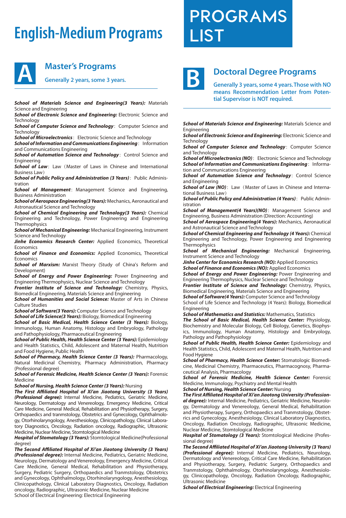## **English-Medium Programs**



#### **Master's Programs**

**Generally 2 years, some 3 years.**

*School of Materials Science and Engineering(3 Years):* Materials Science and Engineering

**School of Electronic Science and Engineering: Electronic Science and Technology** 

**School of Computer Science and Technology: Computer Science and Technology** 

**School of Microelectronics**: Electronic Science and Technology

**School of Information and Communications Engineering**: Information and Communications Engineering

**School of Automation Science and Technology: Control Science and** Engineering

**School of Law**: Law (Master of Laws in Chinese and International Business Law)

**School of Public Policy and Administration (3 Years)**: Public Administration

**School of Management**: Management Science and Engineering, Business Administration

*School of Aerospace Engineering(3 Years):* Mechanics, Aeronautical and Astronautical Science and Technology

*School of Chemical Engineering and Technology(3 Years):* Chemical Engineering and Technology, Power Engineering and Engineering Thermophysics

*School of Mechanical Engineering:* Mechanical Engineering, Instrument Science and Technology

*Jinhe Economics Research Center:* Applied Economics, Theoretical Economics

*School of Finance and Economics:* Applied Economics, Theoretical Economics

**School of Marxism:** Marxist Theory (Study of China's Reform and Development)

*School of Energy and Power Engineering:* Power Engineering and Engineering Thermophysics, Nuclear Science and Technology

*Frontier Institute of Science and Technology:* Chemistry, Physics, Biomedical Engineering, Materials Science and Engineering

**School of Humanities and Social Science:** Master of Arts in Chinese Culture Studies

*School of Software(3 Years):* Computer Science and Technology

*School of Life Science(3 Years):* Biology, Biomedical Engineering

*School of Basic Medical, Health Science Center (3 Years):* Biology, Immunology, Human Anatomy, Histology and Embryology, Pathology and Pathophysiology, Pharmaceutical Engineering

*School of Public Health, Health Science Center (3 Years):* Epidemiology and Health Statistics, Child, Adolescent and Maternal Health, Nutrition and Food Hygiene, Public Health

*School of Pharmacy, Health Science Center (3 Years):* Pharmacology, Natural Medicinal Chemistry, Pharmacy Administration, Pharmacy (Professional degree)

*School of Forensic Medicine, Health Science Center (3 Years):* Forensic Medicine

*School of Nursing, Health Science Center (3 Years):* Nursing

*The First Affiliated Hospital of Xi'an Jiaotong University (3 Years) (Professional degree):* Internal Medicine, Pediatrics, Geriatric Medicine, Neurology, Dermatology and Venereology, Emergency Medicine, Critical Care Medicine, General Medical, Rehabilitation and Physiotherapy, Surgery, Orthopaedics and tranmstology, Obstetrics and Gynecology, Ophthalmology, Otorhinolaryngology, Anesthesiology, Clinicopathology, Clinical Laboratory Diagnostics, Oncology, Radiation oncology, Radiographic, Ultrasonic Medicine, Nuclear Medicine, Stomtological Medicine

*Hospital of Stomatology (3 Years):* Stomtological Medicine(Professional degree)

*The Second Affiliated Hospital of Xi'an Jiaotong University (3 Years) (Professional degree):* Internal Medicine, Pediatrics, Geriatric Medicine, Neurology, Dermatology and Venereology, Emergency Medicine, Critical Care Medicine, General Medical, Rehabilitation and Physiotherapy, Surgery, Pediatric Surgery, Orthopaedics and Tranmstology, Obstetrics and Gynecology, Ophthalmology, Otorhinolaryngology, Anesthesiology, Clinicopathology, Clinical Laboratory Diagnostics, Oncology, Radiation oncology, Radiographic, Ultrasonic Medicine, Nuclear Medicine School of Electrical Engineering: Electrical Engineering

**PROGRAMS LIST**



#### **Doctoral Degree Programs**

**Generally 3 years, some 4 years. Those with NO means Recommendation Letter from Potential Supervisor is NOT required.** 

**School of Materials Science and Engineering: Materials Science and** Engineering

*School of Electronic Science and Engineering:* Electronic Science and **Technology** 

**School of Computer Science and Technology: Computer Science** and Technology

**School of Microelectronics (NO)**: Electronic Science and Technology **School of Information and Communications Engineering**: Information and Communications Engineering

**School of Automation Science and Technology: Control Science** and Engineering

**School of Law (NO)**: Law (Master of Laws in Chinese and International Business Law)

**School of Public Policy and Administration (4 Years)**: Public Administration

School of Management(4 Years)(NO): Management Science and Engineering, Business Administration (Direction: Accounting)

*School of Aerospace Engineering(4 Years):* Mechanics, Aeronautical and Astronautical Science and Technology

*School of Chemical Engineering and Technology (4 Years):* Chemical Engineering and Technology, Power Engineering and Engineering **Thermophysics** 

*School of Mechanical Engineering:* Mechanical Engineering, Instrument Science and Technology

*Jinhe Center for Economics Research (NO):* Applied Economics *School of Finance and Economics (NO):* Applied Economics

*School of Energy and Power Engineering:* Power Engineering and Engineering Thermophysics, Nuclear Science and Technology

*Frontier Institute of Science and Technology:* Chemistry, Physics, Biomedical Engineering, Materials Science and Engineering

*School of Software(4 Years):* Computer Science and Technology School of Life Science and Technology (4 Years): Biology, Biomedical Engineering

*School of Mathematics and Statistics:* Mathematics, Statistics

*The School of Basic Medical, Health Science Center:* Physiology, Biochemistry and Molecular Biology, Cell Biology, Genetics, Biophysics, Immunology, Human Anatomy, Histology and Embryology, Pathology and Pathophysiology

School of Public Health, Health Science Center: Epidemiology and Health Statistics, Child, Adolescent and Maternal Health, Nutrition and Food Hygiene

*School of Pharmacy, Health Science Center:* Stomatologic Biomedicine, Medicinal Chemistry, Pharmaceutics, Pharmacognosy, Pharmaceutical Analysis, Pharmacology

*School of Forensic Medicine, Health Science Center:* Forensic Medicine, Immunology, Psychiatry and Mental Health

*School of Nursing, Health Science Center:* Nursing

*The First Affiliated Hospital of Xi'an Jiaotong University (Professional degree):* Internal Medicine, Pediatrics, Geriatric Medicine, Neurology, Dermatology and Venereology, General Medical, Rehabilitation and Physiotherapy, Surgery, Orthopaedics and Tranmstology, Obstetrics and Gynecology, Anesthesiology, Clinical Laboratory Diagnostics, Oncology, Radiation Oncology, Radiographic, Ultrasonic Medicine, Nuclear Medicine, Stomtological Medicine

*Hospital of Stomatology (3 Years):* Stomtological Medicine (Professional degree)

*The Second Affiliated Hospital of Xi'an Jiaotong University (3 Years) (Professional degree):* Internal Medicine, Pediatrics, Neurology, Dermatology and Venereology, Critical Care Medicine, Rehabilitation and Physiotherapy, Surgery, Pediatric Surgery, Orthopaedics and Tranmstology, Ophthalmology, Otorhinolaryngology, Anesthesiology, Clinicopathology, Oncology, Radiation Oncology, Radiographic, Ultrasonic Medicine

*School of Electrical Engineering:* Electrical Engineering